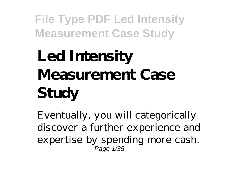# **Led Intensity Measurement Case Study**

Eventually, you will categorically discover a further experience and expertise by spending more cash. Page 1/35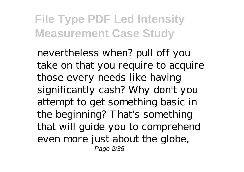nevertheless when? pull off you take on that you require to acquire those every needs like having significantly cash? Why don't you attempt to get something basic in the beginning? That's something that will guide you to comprehend even more just about the globe, Page 2/35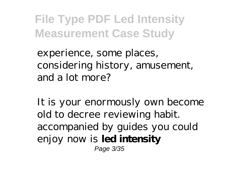experience, some places, considering history, amusement, and a lot more?

It is your enormously own become old to decree reviewing habit. accompanied by guides you could enjoy now is **led intensity** Page 3/35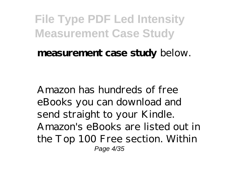#### **measurement case study** below.

Amazon has hundreds of free eBooks you can download and send straight to your Kindle. Amazon's eBooks are listed out in the Top 100 Free section. Within Page 4/35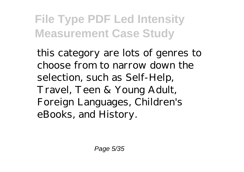this category are lots of genres to choose from to narrow down the selection, such as Self-Help, Travel, Teen & Young Adult, Foreign Languages, Children's eBooks, and History.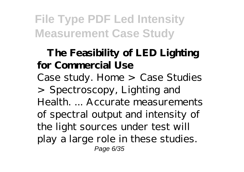#### **The Feasibility of LED Lighting for Commercial Use** Case study. Home > Case Studies

> Spectroscopy, Lighting and Health. ... Accurate measurements of spectral output and intensity of the light sources under test will play a large role in these studies. Page 6/35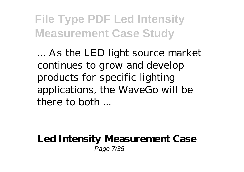... As the LED light source market continues to grow and develop products for specific lighting applications, the WaveGo will be there to both ...

**Led Intensity Measurement Case** Page 7/35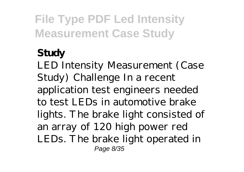#### **Study**

LED Intensity Measurement (Case Study) Challenge In a recent application test engineers needed to test LEDs in automotive brake lights. The brake light consisted of an array of 120 high power red LEDs. The brake light operated in Page 8/35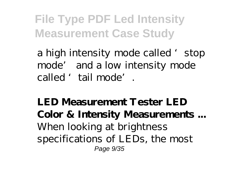a high intensity mode called 'stop mode' and a low intensity mode called 'tail mode'.

**LED Measurement Tester LED Color & Intensity Measurements ...** When looking at brightness specifications of LEDs, the most Page 9/35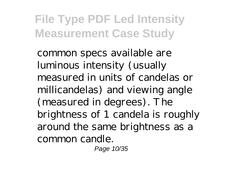common specs available are luminous intensity (usually measured in units of candelas or millicandelas) and viewing angle (measured in degrees). The brightness of 1 candela is roughly around the same brightness as a common candle.

Page 10/35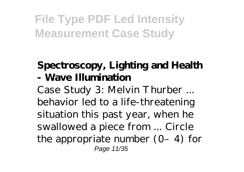#### **Spectroscopy, Lighting and Health - Wave Illumination**

Case Study 3: Melvin Thurber ... behavior led to a life-threatening situation this past year, when he swallowed a piece from ... Circle the appropriate number  $(0-4)$  for Page 11/35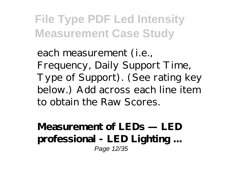each measurement (i.e., Frequency, Daily Support Time, Type of Support). (See rating key below.) Add across each line item to obtain the Raw Scores.

**Measurement of LEDs — LED professional - LED Lighting ...** Page 12/35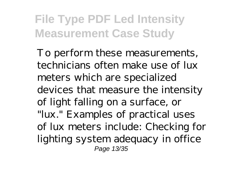To perform these measurements, technicians often make use of lux meters which are specialized devices that measure the intensity of light falling on a surface, or "lux." Examples of practical uses of lux meters include: Checking for lighting system adequacy in office Page 13/35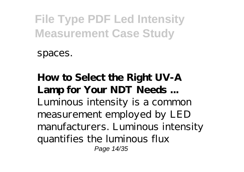spaces.

**How to Select the Right UV-A Lamp for Your NDT Needs ...** Luminous intensity is a common measurement employed by LED manufacturers. Luminous intensity quantifies the luminous flux Page 14/35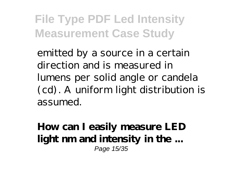emitted by a source in a certain direction and is measured in lumens per solid angle or candela (cd). A uniform light distribution is assumed.

**How can I easily measure LED light nm and intensity in the ...** Page 15/35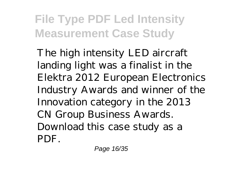The high intensity LED aircraft landing light was a finalist in the Elektra 2012 European Electronics Industry Awards and winner of the Innovation category in the 2013 CN Group Business Awards. Download this case study as a PDF.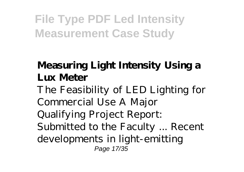#### **Measuring Light Intensity Using a Lux Meter**

The Feasibility of LED Lighting for Commercial Use A Major Qualifying Project Report: Submitted to the Faculty ... Recent developments in light-emitting Page 17/35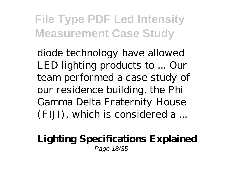diode technology have allowed LED lighting products to ... Our team performed a case study of our residence building, the Phi Gamma Delta Fraternity House (FIJI), which is considered a ...

#### **Lighting Specifications Explained** Page 18/35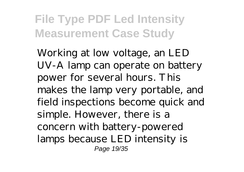Working at low voltage, an LED UV-A lamp can operate on battery power for several hours. This makes the lamp very portable, and field inspections become quick and simple. However, there is a concern with battery-powered lamps because LED intensity is Page 19/35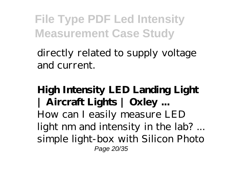directly related to supply voltage and current.

**High Intensity LED Landing Light | Aircraft Lights | Oxley ...** How can I easily measure LED light nm and intensity in the lab? ... simple light-box with Silicon Photo Page 20/35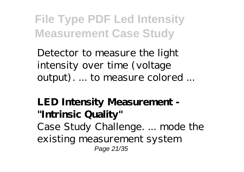Detector to measure the light intensity over time (voltage output). ... to measure colored ...

**LED Intensity Measurement - "Intrinsic Quality"** Case Study Challenge. ... mode the existing measurement system Page 21/35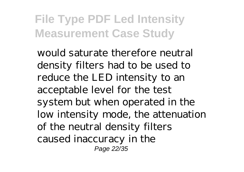would saturate therefore neutral density filters had to be used to reduce the LED intensity to an acceptable level for the test system but when operated in the low intensity mode, the attenuation of the neutral density filters caused inaccuracy in the Page 22/35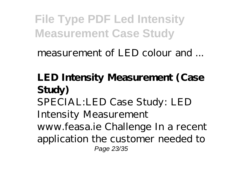measurement of LED colour and ...

#### **LED Intensity Measurement (Case Study)**

SPECIAL:LED Case Study: LED Intensity Measurement

www.feasa.ie Challenge In a recent application the customer needed to Page 23/35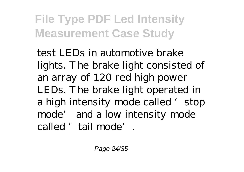test LEDs in automotive brake lights. The brake light consisted of an array of 120 red high power LEDs. The brake light operated in a high intensity mode called 'stop mode' and a low intensity mode called 'tail mode'.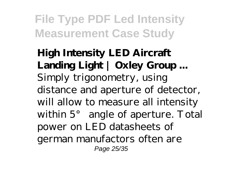**High Intensity LED Aircraft Landing Light | Oxley Group ...** Simply trigonometry, using distance and aperture of detector, will allow to measure all intensity within 5° angle of aperture. Total power on LED datasheets of german manufactors often are Page 25/35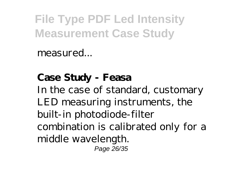measured...

**Case Study - Feasa** In the case of standard, customary LED measuring instruments, the built-in photodiode-filter combination is calibrated only for a middle wavelength. Page 26/35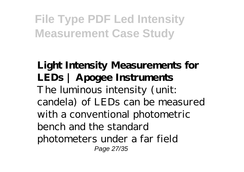**Light Intensity Measurements for LEDs | Apogee Instruments** The luminous intensity (unit: candela) of LEDs can be measured with a conventional photometric bench and the standard photometers under a far field Page 27/35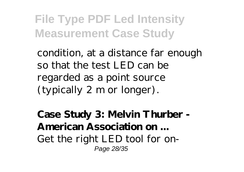condition, at a distance far enough so that the test LED can be regarded as a point source (typically 2 m or longer).

**Case Study 3: Melvin Thurber - American Association on ...** Get the right LED tool for on-Page 28/35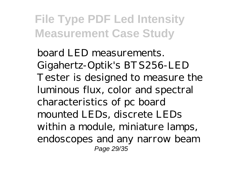board LED measurements. Gigahertz-Optik's BTS256-LED Tester is designed to measure the luminous flux, color and spectral characteristics of pc board mounted LEDs, discrete LEDs within a module, miniature lamps, endoscopes and any narrow beam Page 29/35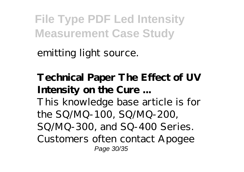emitting light source.

#### **Technical Paper The Effect of UV Intensity on the Cure ...**

This knowledge base article is for the SQ/MQ-100, SQ/MQ-200, SQ/MQ-300, and SQ-400 Series. Customers often contact Apogee Page 30/35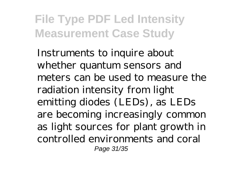Instruments to inquire about whether quantum sensors and meters can be used to measure the radiation intensity from light emitting diodes (LEDs), as LEDs are becoming increasingly common as light sources for plant growth in controlled environments and coral Page 31/35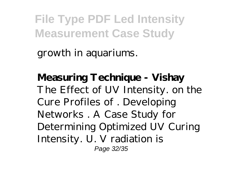growth in aquariums.

**Measuring Technique - Vishay** The Effect of UV Intensity. on the Cure Profiles of . Developing Networks . A Case Study for Determining Optimized UV Curing Intensity. U. V radiation is Page 32/35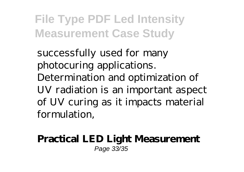successfully used for many photocuring applications. Determination and optimization of UV radiation is an important aspect of UV curing as it impacts material formulation,

#### **Practical LED Light Measurement** Page 33/35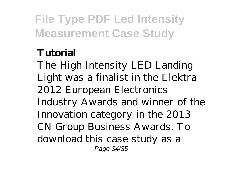#### **Tutorial**

The High Intensity LED Landing Light was a finalist in the Elektra 2012 European Electronics Industry Awards and winner of the Innovation category in the 2013 CN Group Business Awards. To download this case study as a Page 34/35